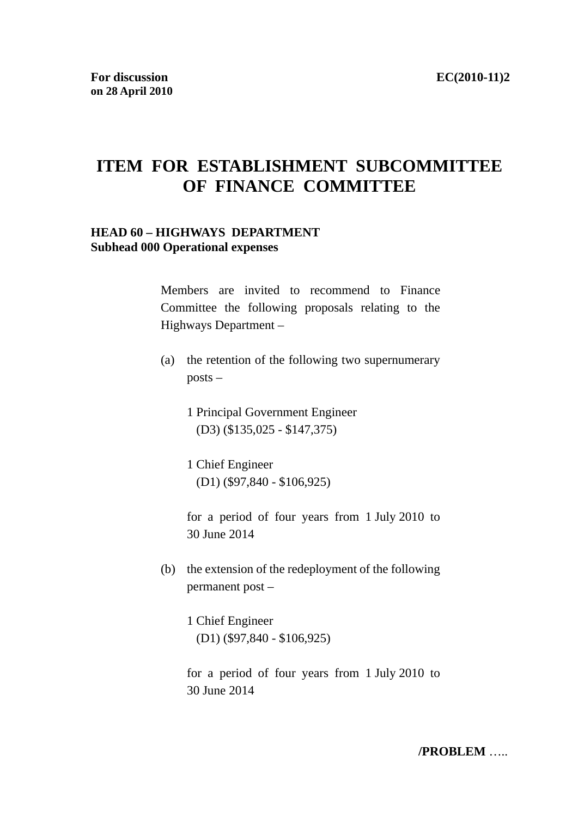# **ITEM FOR ESTABLISHMENT SUBCOMMITTEE OF FINANCE COMMITTEE**

### **HEAD 60 – HIGHWAYS DEPARTMENT Subhead 000 Operational expenses**

Members are invited to recommend to Finance Committee the following proposals relating to the Highways Department –

- (a) the retention of the following two supernumerary posts –
	- 1 Principal Government Engineer (D3) (\$135,025 - \$147,375)
	- 1 Chief Engineer (D1) (\$97,840 - \$106,925)

for a period of four years from 1 July 2010 to 30 June 2014

- (b) the extension of the redeployment of the following permanent post –
	- 1 Chief Engineer (D1) (\$97,840 - \$106,925)

for a period of four years from 1 July 2010 to 30 June 2014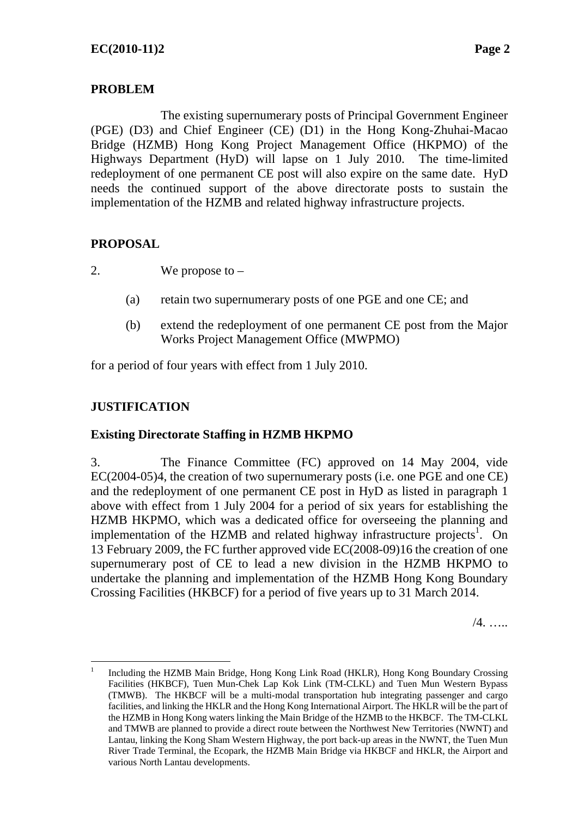### **PROBLEM**

The existing supernumerary posts of Principal Government Engineer (PGE) (D3) and Chief Engineer (CE) (D1) in the Hong Kong-Zhuhai-Macao Bridge (HZMB) Hong Kong Project Management Office (HKPMO) of the Highways Department (HyD) will lapse on 1 July 2010. The time-limited redeployment of one permanent CE post will also expire on the same date. HyD needs the continued support of the above directorate posts to sustain the implementation of the HZMB and related highway infrastructure projects.

### **PROPOSAL**

2. We propose to –

- (a) retain two supernumerary posts of one PGE and one CE; and
- (b) extend the redeployment of one permanent CE post from the Major Works Project Management Office (MWPMO)

for a period of four years with effect from 1 July 2010.

### **JUSTIFICATION**

 $\overline{a}$ 

### **Existing Directorate Staffing in HZMB HKPMO**

3. The Finance Committee (FC) approved on 14 May 2004, vide EC(2004-05)4, the creation of two supernumerary posts (i.e. one PGE and one CE) and the redeployment of one permanent CE post in HyD as listed in paragraph 1 above with effect from 1 July 2004 for a period of six years for establishing the HZMB HKPMO, which was a dedicated office for overseeing the planning and implementation of the HZMB and related highway infrastructure projects<sup>1</sup>. On 13 February 2009, the FC further approved vide EC(2008-09)16 the creation of one supernumerary post of CE to lead a new division in the HZMB HKPMO to undertake the planning and implementation of the HZMB Hong Kong Boundary Crossing Facilities (HKBCF) for a period of five years up to 31 March 2014.

/4. …..

<sup>1</sup> Including the HZMB Main Bridge, Hong Kong Link Road (HKLR), Hong Kong Boundary Crossing Facilities (HKBCF), Tuen Mun-Chek Lap Kok Link (TM-CLKL) and Tuen Mun Western Bypass (TMWB). The HKBCF will be a multi-modal transportation hub integrating passenger and cargo facilities, and linking the HKLR and the Hong Kong International Airport. The HKLR will be the part of the HZMB in Hong Kong waters linking the Main Bridge of the HZMB to the HKBCF. The TM-CLKL and TMWB are planned to provide a direct route between the Northwest New Territories (NWNT) and Lantau, linking the Kong Sham Western Highway, the port back-up areas in the NWNT, the Tuen Mun River Trade Terminal, the Ecopark, the HZMB Main Bridge via HKBCF and HKLR, the Airport and various North Lantau developments.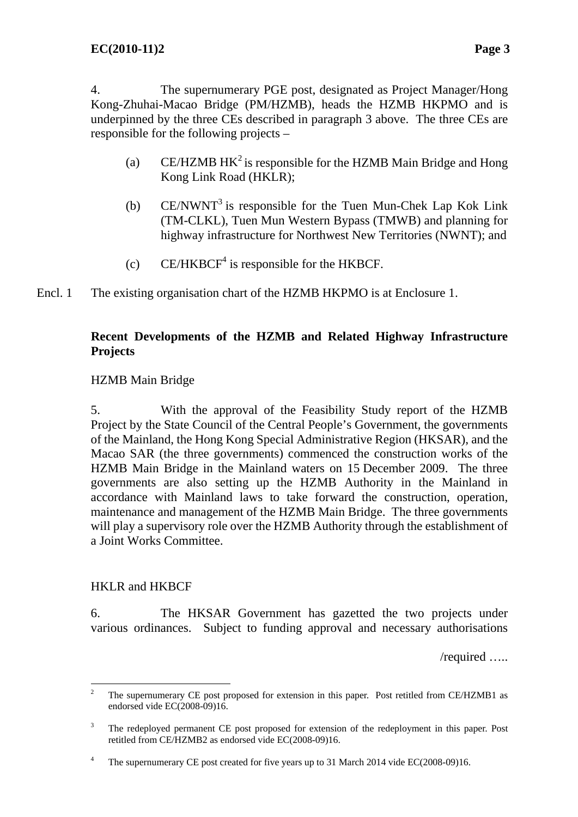4. The supernumerary PGE post, designated as Project Manager/Hong Kong-Zhuhai-Macao Bridge (PM/HZMB), heads the HZMB HKPMO and is underpinned by the three CEs described in paragraph 3 above. The three CEs are responsible for the following projects –

- (a) CE/HZMB  $HK^2$  is responsible for the HZMB Main Bridge and Hong Kong Link Road (HKLR);
- (b)  $CE/NWNT<sup>3</sup>$  is responsible for the Tuen Mun-Chek Lap Kok Link (TM-CLKL), Tuen Mun Western Bypass (TMWB) and planning for highway infrastructure for Northwest New Territories (NWNT); and
- (c)  $CE/HKBCF<sup>4</sup>$  is responsible for the HKBCF.
- The existing organisation chart of the HZMB HKPMO is at Enclosure 1. Encl. 1

### **Recent Developments of the HZMB and Related Highway Infrastructure Projects**

### HZMB Main Bridge

5. With the approval of the Feasibility Study report of the HZMB Project by the State Council of the Central People's Government, the governments of the Mainland, the Hong Kong Special Administrative Region (HKSAR), and the Macao SAR (the three governments) commenced the construction works of the HZMB Main Bridge in the Mainland waters on 15 December 2009. The three governments are also setting up the HZMB Authority in the Mainland in accordance with Mainland laws to take forward the construction, operation, maintenance and management of the HZMB Main Bridge. The three governments will play a supervisory role over the HZMB Authority through the establishment of a Joint Works Committee.

### HKLR and HKBCF

6. The HKSAR Government has gazetted the two projects under various ordinances. Subject to funding approval and necessary authorisations

/required …..

 $\overline{a}$ 2 The supernumerary CE post proposed for extension in this paper. Post retitled from CE/HZMB1 as endorsed vide EC(2008-09)16.

<sup>3</sup> The redeployed permanent CE post proposed for extension of the redeployment in this paper. Post retitled from CE/HZMB2 as endorsed vide EC(2008-09)16.

<sup>4</sup> The supernumerary CE post created for five years up to 31 March 2014 vide EC(2008-09)16.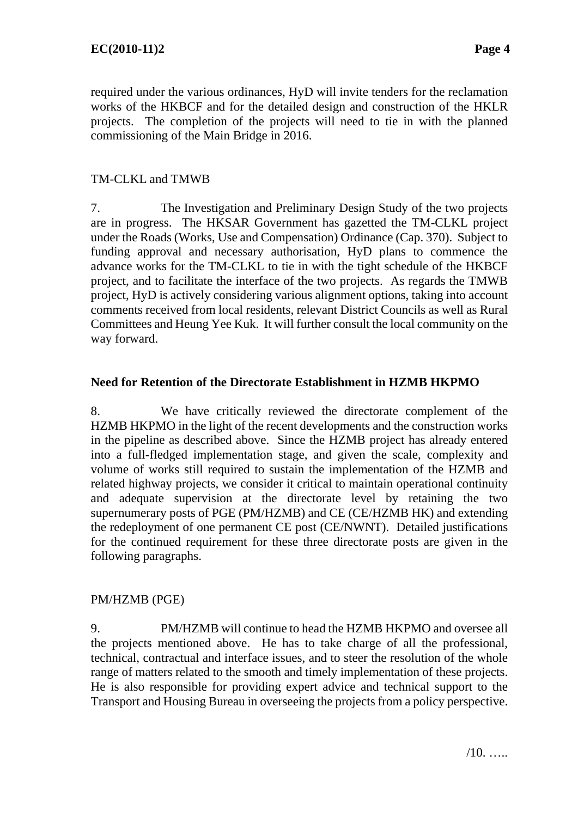required under the various ordinances, HyD will invite tenders for the reclamation works of the HKBCF and for the detailed design and construction of the HKLR projects. The completion of the projects will need to tie in with the planned commissioning of the Main Bridge in 2016.

### TM-CLKL and TMWB

7. The Investigation and Preliminary Design Study of the two projects are in progress. The HKSAR Government has gazetted the TM-CLKL project under the Roads (Works, Use and Compensation) Ordinance (Cap. 370). Subject to funding approval and necessary authorisation, HyD plans to commence the advance works for the TM-CLKL to tie in with the tight schedule of the HKBCF project, and to facilitate the interface of the two projects. As regards the TMWB project, HyD is actively considering various alignment options, taking into account comments received from local residents, relevant District Councils as well as Rural Committees and Heung Yee Kuk. It will further consult the local community on the way forward.

### **Need for Retention of the Directorate Establishment in HZMB HKPMO**

8. We have critically reviewed the directorate complement of the HZMB HKPMO in the light of the recent developments and the construction works in the pipeline as described above. Since the HZMB project has already entered into a full-fledged implementation stage, and given the scale, complexity and volume of works still required to sustain the implementation of the HZMB and related highway projects, we consider it critical to maintain operational continuity and adequate supervision at the directorate level by retaining the two supernumerary posts of PGE (PM/HZMB) and CE (CE/HZMB HK) and extending the redeployment of one permanent CE post (CE/NWNT). Detailed justifications for the continued requirement for these three directorate posts are given in the following paragraphs.

### PM/HZMB (PGE)

9. PM/HZMB will continue to head the HZMB HKPMO and oversee all the projects mentioned above. He has to take charge of all the professional, technical, contractual and interface issues, and to steer the resolution of the whole range of matters related to the smooth and timely implementation of these projects. He is also responsible for providing expert advice and technical support to the Transport and Housing Bureau in overseeing the projects from a policy perspective.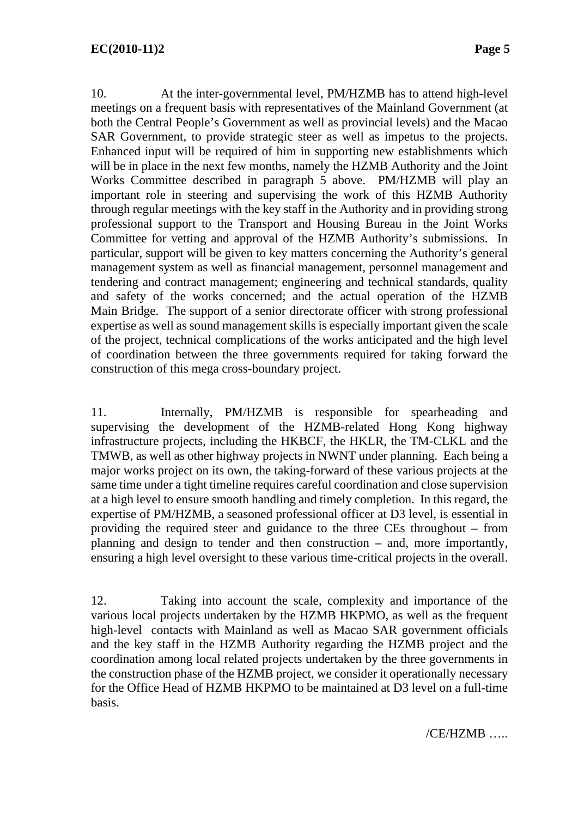10. At the inter-governmental level, PM/HZMB has to attend high-level meetings on a frequent basis with representatives of the Mainland Government (at both the Central People's Government as well as provincial levels) and the Macao SAR Government, to provide strategic steer as well as impetus to the projects. Enhanced input will be required of him in supporting new establishments which will be in place in the next few months, namely the HZMB Authority and the Joint Works Committee described in paragraph 5 above. PM/HZMB will play an important role in steering and supervising the work of this HZMB Authority through regular meetings with the key staff in the Authority and in providing strong professional support to the Transport and Housing Bureau in the Joint Works Committee for vetting and approval of the HZMB Authority's submissions. In particular, support will be given to key matters concerning the Authority's general management system as well as financial management, personnel management and tendering and contract management; engineering and technical standards, quality and safety of the works concerned; and the actual operation of the HZMB Main Bridge. The support of a senior directorate officer with strong professional expertise as well as sound management skills is especially important given the scale of the project, technical complications of the works anticipated and the high level of coordination between the three governments required for taking forward the construction of this mega cross-boundary project.

11. Internally, PM/HZMB is responsible for spearheading and supervising the development of the HZMB-related Hong Kong highway infrastructure projects, including the HKBCF, the HKLR, the TM-CLKL and the TMWB, as well as other highway projects in NWNT under planning. Each being a major works project on its own, the taking-forward of these various projects at the same time under a tight timeline requires careful coordination and close supervision at a high level to ensure smooth handling and timely completion. In this regard, the expertise of PM/HZMB, a seasoned professional officer at D3 level, is essential in providing the required steer and guidance to the three CEs throughout **–** from planning and design to tender and then construction **–** and, more importantly, ensuring a high level oversight to these various time-critical projects in the overall.

12. Taking into account the scale, complexity and importance of the various local projects undertaken by the HZMB HKPMO, as well as the frequent high-level contacts with Mainland as well as Macao SAR government officials and the key staff in the HZMB Authority regarding the HZMB project and the coordination among local related projects undertaken by the three governments in the construction phase of the HZMB project, we consider it operationally necessary for the Office Head of HZMB HKPMO to be maintained at D3 level on a full-time basis.

/CE/HZMB …..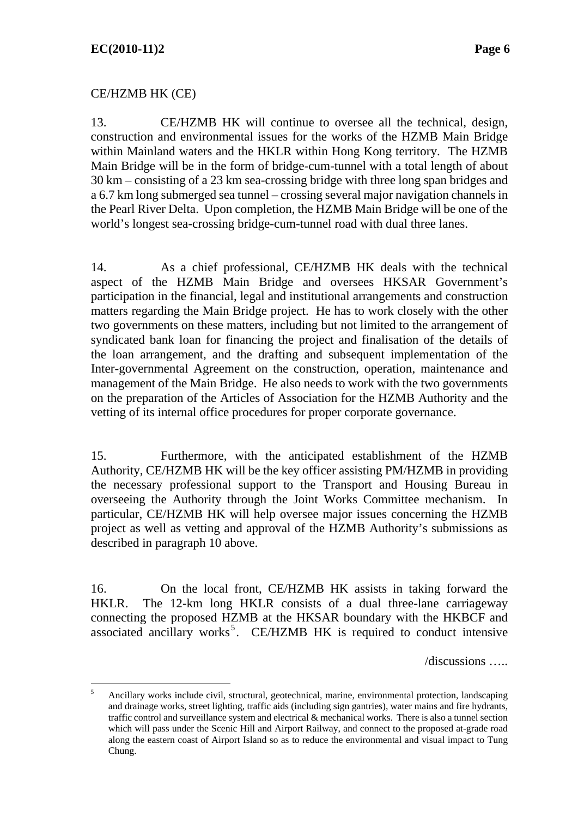$\overline{a}$ 

### CE/HZMB HK (CE)

13. CE/HZMB HK will continue to oversee all the technical, design, construction and environmental issues for the works of the HZMB Main Bridge within Mainland waters and the HKLR within Hong Kong territory. The HZMB Main Bridge will be in the form of bridge-cum-tunnel with a total length of about 30 km – consisting of a 23 km sea-crossing bridge with three long span bridges and a 6.7 km long submerged sea tunnel – crossing several major navigation channels in the Pearl River Delta. Upon completion, the HZMB Main Bridge will be one of the world's longest sea-crossing bridge-cum-tunnel road with dual three lanes.

14. As a chief professional, CE/HZMB HK deals with the technical aspect of the HZMB Main Bridge and oversees HKSAR Government's participation in the financial, legal and institutional arrangements and construction matters regarding the Main Bridge project. He has to work closely with the other two governments on these matters, including but not limited to the arrangement of syndicated bank loan for financing the project and finalisation of the details of the loan arrangement, and the drafting and subsequent implementation of the Inter-governmental Agreement on the construction, operation, maintenance and management of the Main Bridge. He also needs to work with the two governments on the preparation of the Articles of Association for the HZMB Authority and the vetting of its internal office procedures for proper corporate governance.

15. Furthermore, with the anticipated establishment of the HZMB Authority, CE/HZMB HK will be the key officer assisting PM/HZMB in providing the necessary professional support to the Transport and Housing Bureau in overseeing the Authority through the Joint Works Committee mechanism. In particular, CE/HZMB HK will help oversee major issues concerning the HZMB project as well as vetting and approval of the HZMB Authority's submissions as described in paragraph 10 above.

16. On the local front, CE/HZMB HK assists in taking forward the HKLR. The 12-km long HKLR consists of a dual three-lane carriageway connecting the proposed HZMB at the HKSAR boundary with the HKBCF and associated ancillary works<sup>5</sup>. CE/HZMB HK is required to conduct intensive

/discussions …..

<sup>5</sup> Ancillary works include civil, structural, geotechnical, marine, environmental protection, landscaping and drainage works, street lighting, traffic aids (including sign gantries), water mains and fire hydrants, traffic control and surveillance system and electrical & mechanical works. There is also a tunnel section which will pass under the Scenic Hill and Airport Railway, and connect to the proposed at-grade road along the eastern coast of Airport Island so as to reduce the environmental and visual impact to Tung Chung.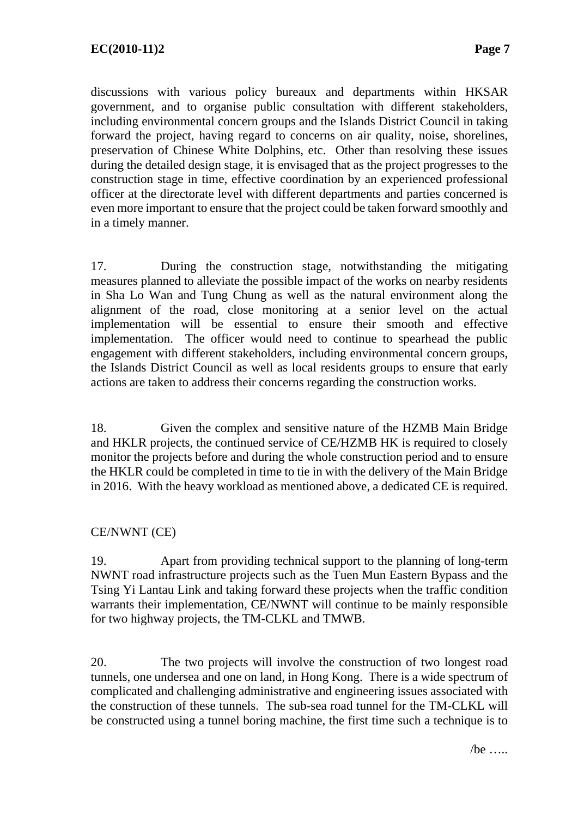discussions with various policy bureaux and departments within HKSAR government, and to organise public consultation with different stakeholders, including environmental concern groups and the Islands District Council in taking forward the project, having regard to concerns on air quality, noise, shorelines, preservation of Chinese White Dolphins, etc. Other than resolving these issues during the detailed design stage, it is envisaged that as the project progresses to the construction stage in time, effective coordination by an experienced professional officer at the directorate level with different departments and parties concerned is even more important to ensure that the project could be taken forward smoothly and in a timely manner.

17. During the construction stage, notwithstanding the mitigating measures planned to alleviate the possible impact of the works on nearby residents in Sha Lo Wan and Tung Chung as well as the natural environment along the alignment of the road, close monitoring at a senior level on the actual implementation will be essential to ensure their smooth and effective implementation. The officer would need to continue to spearhead the public engagement with different stakeholders, including environmental concern groups, the Islands District Council as well as local residents groups to ensure that early actions are taken to address their concerns regarding the construction works.

18. Given the complex and sensitive nature of the HZMB Main Bridge and HKLR projects, the continued service of CE/HZMB HK is required to closely monitor the projects before and during the whole construction period and to ensure the HKLR could be completed in time to tie in with the delivery of the Main Bridge in 2016. With the heavy workload as mentioned above, a dedicated CE is required.

### CE/NWNT (CE)

19. Apart from providing technical support to the planning of long-term NWNT road infrastructure projects such as the Tuen Mun Eastern Bypass and the Tsing Yi Lantau Link and taking forward these projects when the traffic condition warrants their implementation, CE/NWNT will continue to be mainly responsible for two highway projects, the TM-CLKL and TMWB.

20. The two projects will involve the construction of two longest road tunnels, one undersea and one on land, in Hong Kong. There is a wide spectrum of complicated and challenging administrative and engineering issues associated with the construction of these tunnels. The sub-sea road tunnel for the TM-CLKL will be constructed using a tunnel boring machine, the first time such a technique is to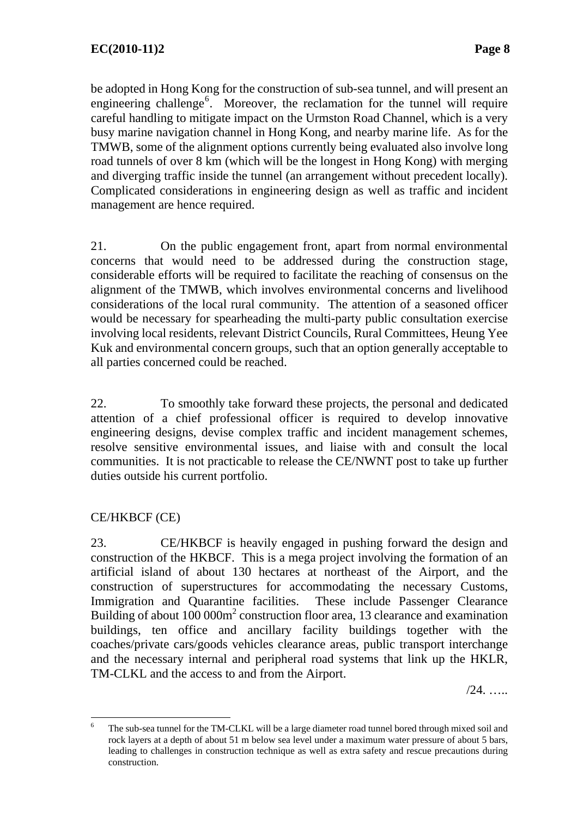be adopted in Hong Kong for the construction of sub-sea tunnel, and will present an engineering challenge<sup>6</sup>. Moreover, the reclamation for the tunnel will require careful handling to mitigate impact on the Urmston Road Channel, which is a very busy marine navigation channel in Hong Kong, and nearby marine life. As for the TMWB, some of the alignment options currently being evaluated also involve long road tunnels of over 8 km (which will be the longest in Hong Kong) with merging and diverging traffic inside the tunnel (an arrangement without precedent locally). Complicated considerations in engineering design as well as traffic and incident management are hence required.

21. On the public engagement front, apart from normal environmental concerns that would need to be addressed during the construction stage, considerable efforts will be required to facilitate the reaching of consensus on the alignment of the TMWB, which involves environmental concerns and livelihood considerations of the local rural community. The attention of a seasoned officer would be necessary for spearheading the multi-party public consultation exercise involving local residents, relevant District Councils, Rural Committees, Heung Yee Kuk and environmental concern groups, such that an option generally acceptable to all parties concerned could be reached.

22. To smoothly take forward these projects, the personal and dedicated attention of a chief professional officer is required to develop innovative engineering designs, devise complex traffic and incident management schemes, resolve sensitive environmental issues, and liaise with and consult the local communities. It is not practicable to release the CE/NWNT post to take up further duties outside his current portfolio.

### CE/HKBCF (CE)

23. CE/HKBCF is heavily engaged in pushing forward the design and construction of the HKBCF. This is a mega project involving the formation of an artificial island of about 130 hectares at northeast of the Airport, and the construction of superstructures for accommodating the necessary Customs, Immigration and Quarantine facilities. These include Passenger Clearance Building of about 100 000m<sup>2</sup> construction floor area, 13 clearance and examination buildings, ten office and ancillary facility buildings together with the coaches/private cars/goods vehicles clearance areas, public transport interchange and the necessary internal and peripheral road systems that link up the HKLR, TM-CLKL and the access to and from the Airport.

/24. …..

 $\frac{1}{6}$  The sub-sea tunnel for the TM-CLKL will be a large diameter road tunnel bored through mixed soil and rock layers at a depth of about 51 m below sea level under a maximum water pressure of about 5 bars, leading to challenges in construction technique as well as extra safety and rescue precautions during construction.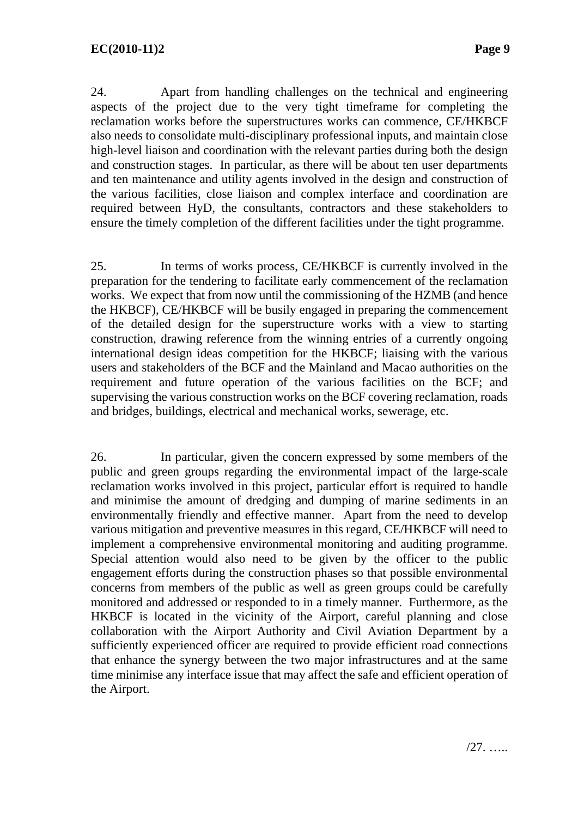24. Apart from handling challenges on the technical and engineering aspects of the project due to the very tight timeframe for completing the reclamation works before the superstructures works can commence, CE/HKBCF also needs to consolidate multi-disciplinary professional inputs, and maintain close high-level liaison and coordination with the relevant parties during both the design and construction stages. In particular, as there will be about ten user departments and ten maintenance and utility agents involved in the design and construction of the various facilities, close liaison and complex interface and coordination are required between HyD, the consultants, contractors and these stakeholders to ensure the timely completion of the different facilities under the tight programme.

25. In terms of works process, CE/HKBCF is currently involved in the preparation for the tendering to facilitate early commencement of the reclamation works. We expect that from now until the commissioning of the HZMB (and hence the HKBCF), CE/HKBCF will be busily engaged in preparing the commencement of the detailed design for the superstructure works with a view to starting construction, drawing reference from the winning entries of a currently ongoing international design ideas competition for the HKBCF; liaising with the various users and stakeholders of the BCF and the Mainland and Macao authorities on the requirement and future operation of the various facilities on the BCF; and supervising the various construction works on the BCF covering reclamation, roads and bridges, buildings, electrical and mechanical works, sewerage, etc.

26. In particular, given the concern expressed by some members of the public and green groups regarding the environmental impact of the large-scale reclamation works involved in this project, particular effort is required to handle and minimise the amount of dredging and dumping of marine sediments in an environmentally friendly and effective manner. Apart from the need to develop various mitigation and preventive measures in this regard, CE/HKBCF will need to implement a comprehensive environmental monitoring and auditing programme. Special attention would also need to be given by the officer to the public engagement efforts during the construction phases so that possible environmental concerns from members of the public as well as green groups could be carefully monitored and addressed or responded to in a timely manner. Furthermore, as the HKBCF is located in the vicinity of the Airport, careful planning and close collaboration with the Airport Authority and Civil Aviation Department by a sufficiently experienced officer are required to provide efficient road connections that enhance the synergy between the two major infrastructures and at the same time minimise any interface issue that may affect the safe and efficient operation of the Airport.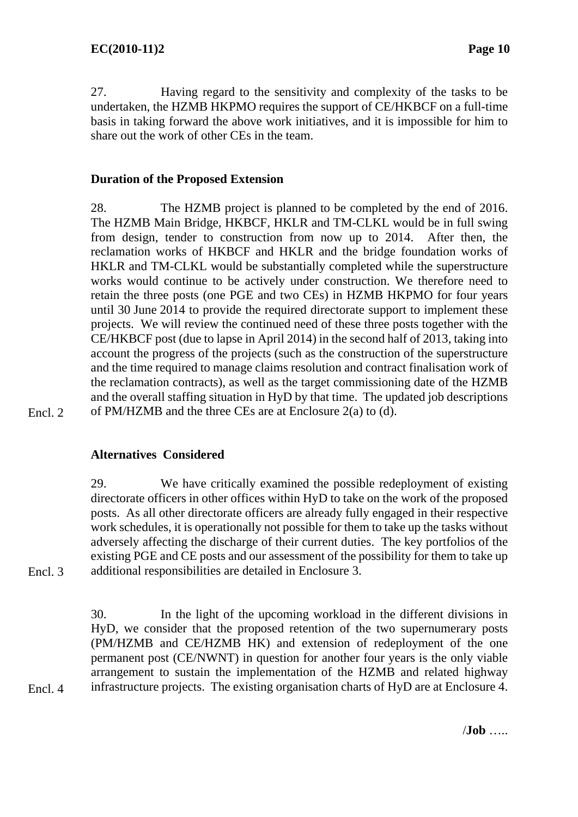27. Having regard to the sensitivity and complexity of the tasks to be undertaken, the HZMB HKPMO requires the support of CE/HKBCF on a full-time basis in taking forward the above work initiatives, and it is impossible for him to share out the work of other CEs in the team.

### **Duration of the Proposed Extension**

28. The HZMB project is planned to be completed by the end of 2016. The HZMB Main Bridge, HKBCF, HKLR and TM-CLKL would be in full swing from design, tender to construction from now up to 2014. After then, the reclamation works of HKBCF and HKLR and the bridge foundation works of HKLR and TM-CLKL would be substantially completed while the superstructure works would continue to be actively under construction. We therefore need to retain the three posts (one PGE and two CEs) in HZMB HKPMO for four years until 30 June 2014 to provide the required directorate support to implement these projects. We will review the continued need of these three posts together with the CE/HKBCF post (due to lapse in April 2014) in the second half of 2013, taking into account the progress of the projects (such as the construction of the superstructure and the time required to manage claims resolution and contract finalisation work of the reclamation contracts), as well as the target commissioning date of the HZMB and the overall staffing situation in HyD by that time. The updated job descriptions of PM/HZMB and the three CEs are at Enclosure 2(a) to (d).

Encl. 2

### **Alternatives Considered**

29. We have critically examined the possible redeployment of existing directorate officers in other offices within HyD to take on the work of the proposed posts. As all other directorate officers are already fully engaged in their respective work schedules, it is operationally not possible for them to take up the tasks without adversely affecting the discharge of their current duties. The key portfolios of the existing PGE and CE posts and our assessment of the possibility for them to take up additional responsibilities are detailed in Enclosure 3.

Encl. 3

Encl. 4

30. In the light of the upcoming workload in the different divisions in HyD, we consider that the proposed retention of the two supernumerary posts (PM/HZMB and CE/HZMB HK) and extension of redeployment of the one permanent post (CE/NWNT) in question for another four years is the only viable arrangement to sustain the implementation of the HZMB and related highway infrastructure projects. The existing organisation charts of HyD are at Enclosure 4.

/**Job** …..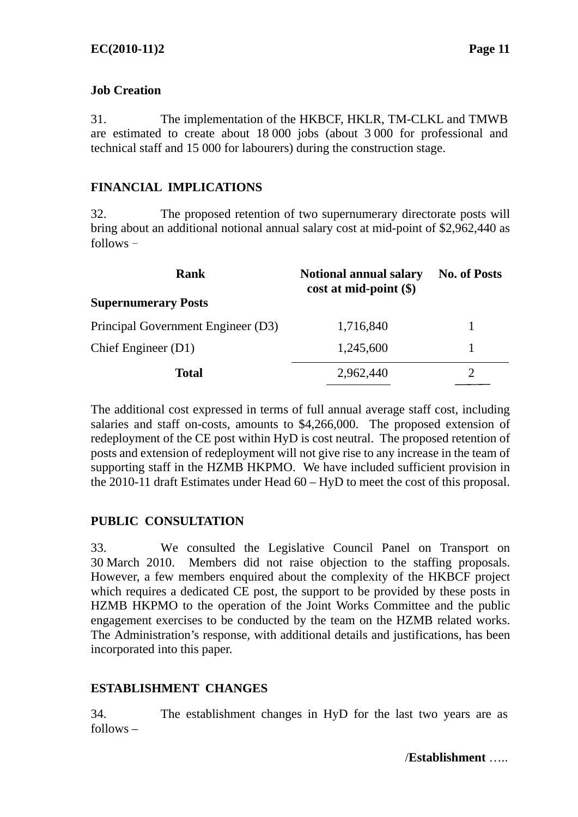### **Job Creation**

31. The implementation of the HKBCF, HKLR, TM-CLKL and TMWB are estimated to create about 18 000 jobs (about 3 000 for professional and technical staff and 15 000 for labourers) during the construction stage.

### **FINANCIAL IMPLICATIONS**

32. The proposed retention of two supernumerary directorate posts will bring about an additional notional annual salary cost at mid-point of \$2,962,440 as  $follows -$ 

| Rank                               | <b>Notional annual salary</b><br>$cost$ at mid-point $(\$)$ | <b>No. of Posts</b> |  |
|------------------------------------|-------------------------------------------------------------|---------------------|--|
| <b>Supernumerary Posts</b>         |                                                             |                     |  |
| Principal Government Engineer (D3) | 1,716,840                                                   |                     |  |
| Chief Engineer (D1)                | 1,245,600                                                   |                     |  |
| <b>Total</b>                       | 2,962,440                                                   |                     |  |

The additional cost expressed in terms of full annual average staff cost, including salaries and staff on-costs, amounts to \$4,266,000. The proposed extension of redeployment of the CE post within HyD is cost neutral. The proposed retention of posts and extension of redeployment will not give rise to any increase in the team of supporting staff in the HZMB HKPMO. We have included sufficient provision in the 2010-11 draft Estimates under Head 60 – HyD to meet the cost of this proposal.

### **PUBLIC CONSULTATION**

33. We consulted the Legislative Council Panel on Transport on 30 March 2010. Members did not raise objection to the staffing proposals. However, a few members enquired about the complexity of the HKBCF project which requires a dedicated CE post, the support to be provided by these posts in HZMB HKPMO to the operation of the Joint Works Committee and the public engagement exercises to be conducted by the team on the HZMB related works. The Administration's response, with additional details and justifications, has been incorporated into this paper.

### **ESTABLISHMENT CHANGES**

34. The establishment changes in HyD for the last two years are as follows –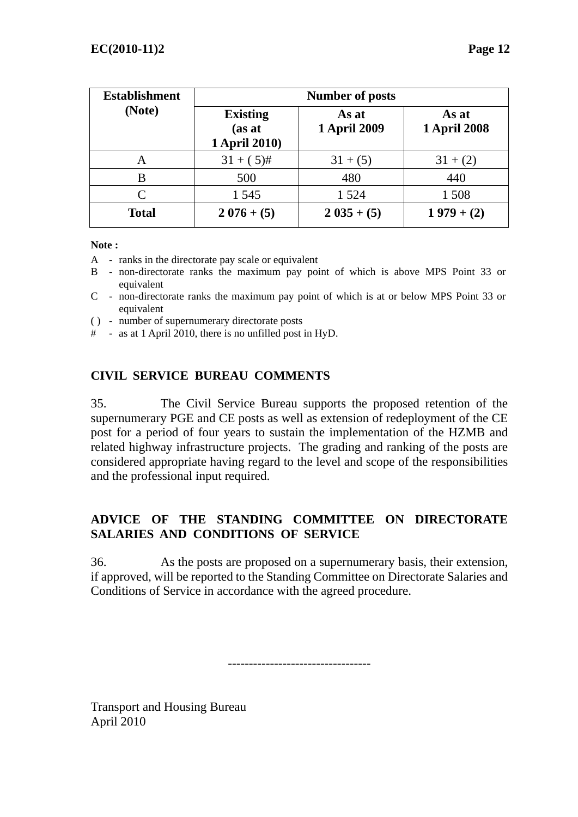| <b>Establishment</b>        | <b>Number of posts</b>                     |                              |                              |  |
|-----------------------------|--------------------------------------------|------------------------------|------------------------------|--|
| (Note)                      | <b>Existing</b><br>(as at<br>1 April 2010) | As at<br><b>1 April 2009</b> | As at<br><b>1 April 2008</b> |  |
| A                           | $31 + (5)$ #                               | $31 + (5)$                   | $31 + (2)$                   |  |
| B                           | 500                                        | 480                          | 440                          |  |
| $\mathcal{C}_{\mathcal{C}}$ | 1 545                                      | 1 5 2 4                      | 1 508                        |  |
| <b>Total</b>                | $2076 + (5)$                               | $2035 + (5)$                 | $1979 + (2)$                 |  |

#### **Note :**

- A ranks in the directorate pay scale or equivalent
- B non-directorate ranks the maximum pay point of which is above MPS Point 33 or equivalent
- C non-directorate ranks the maximum pay point of which is at or below MPS Point 33 or equivalent
- ( ) number of supernumerary directorate posts
- # as at 1 April 2010, there is no unfilled post in HyD.

### **CIVIL SERVICE BUREAU COMMENTS**

35. The Civil Service Bureau supports the proposed retention of the supernumerary PGE and CE posts as well as extension of redeployment of the CE post for a period of four years to sustain the implementation of the HZMB and related highway infrastructure projects. The grading and ranking of the posts are considered appropriate having regard to the level and scope of the responsibilities and the professional input required.

### **ADVICE OF THE STANDING COMMITTEE ON DIRECTORATE SALARIES AND CONDITIONS OF SERVICE**

36. As the posts are proposed on a supernumerary basis, their extension, if approved, will be reported to the Standing Committee on Directorate Salaries and Conditions of Service in accordance with the agreed procedure.

----------------------------------

Transport and Housing Bureau April 2010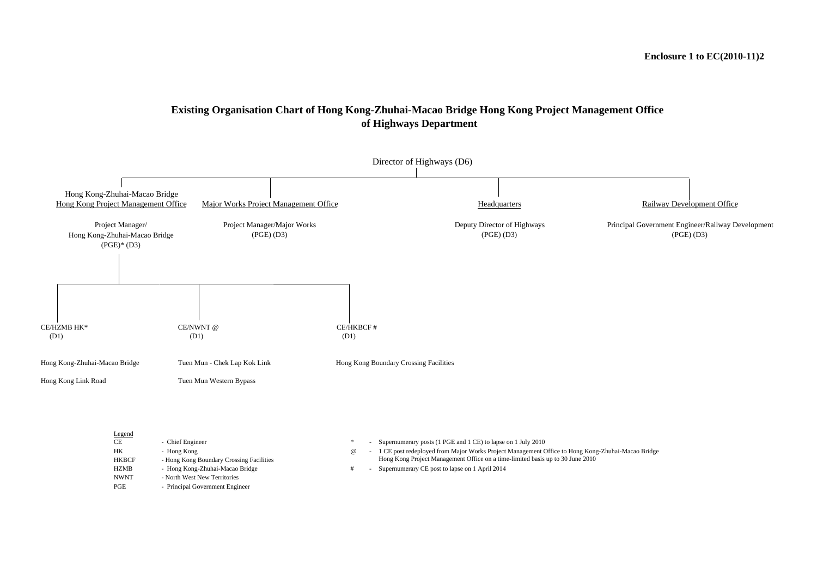### **Existing Organisation Chart of Hong Kong-Zhuhai-Macao Bridge Hong Kong Project Management Office of Highways Department**

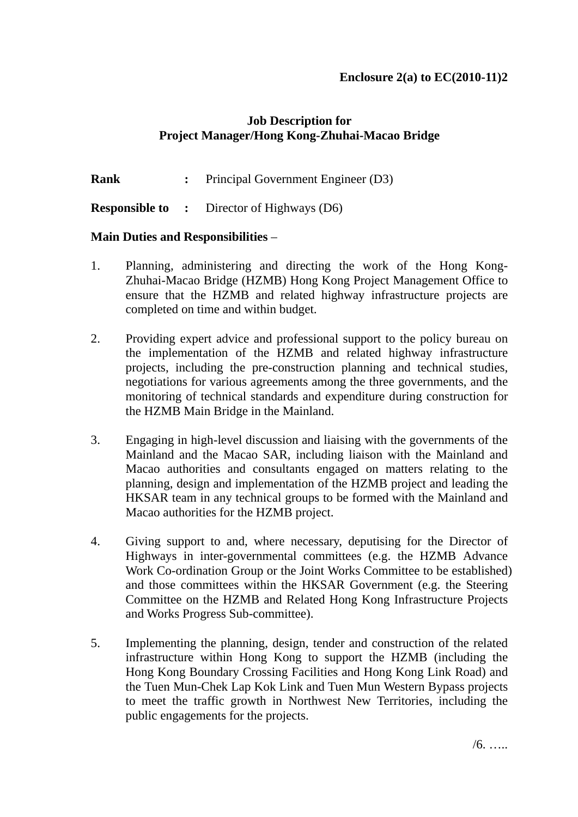## **Job Description for Project Manager/Hong Kong-Zhuhai-Macao Bridge**

**Rank** : Principal Government Engineer (D3)

**Responsible to :** Director of Highways (D6)

### **Main Duties and Responsibilities** –

- 1. Planning, administering and directing the work of the Hong Kong-Zhuhai-Macao Bridge (HZMB) Hong Kong Project Management Office to ensure that the HZMB and related highway infrastructure projects are completed on time and within budget.
- 2. Providing expert advice and professional support to the policy bureau on the implementation of the HZMB and related highway infrastructure projects, including the pre-construction planning and technical studies, negotiations for various agreements among the three governments, and the monitoring of technical standards and expenditure during construction for the HZMB Main Bridge in the Mainland.
- 3. Engaging in high-level discussion and liaising with the governments of the Mainland and the Macao SAR, including liaison with the Mainland and Macao authorities and consultants engaged on matters relating to the planning, design and implementation of the HZMB project and leading the HKSAR team in any technical groups to be formed with the Mainland and Macao authorities for the HZMB project.
- 4. Giving support to and, where necessary, deputising for the Director of Highways in inter-governmental committees (e.g. the HZMB Advance Work Co-ordination Group or the Joint Works Committee to be established) and those committees within the HKSAR Government (e.g. the Steering Committee on the HZMB and Related Hong Kong Infrastructure Projects and Works Progress Sub-committee).
- 5. Implementing the planning, design, tender and construction of the related infrastructure within Hong Kong to support the HZMB (including the Hong Kong Boundary Crossing Facilities and Hong Kong Link Road) and the Tuen Mun-Chek Lap Kok Link and Tuen Mun Western Bypass projects to meet the traffic growth in Northwest New Territories, including the public engagements for the projects.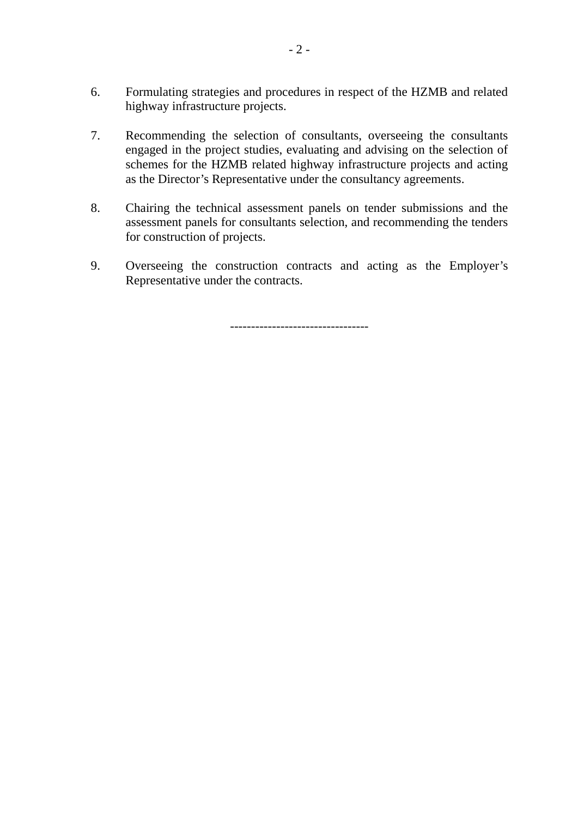- 6. Formulating strategies and procedures in respect of the HZMB and related highway infrastructure projects.
- 7. Recommending the selection of consultants, overseeing the consultants engaged in the project studies, evaluating and advising on the selection of schemes for the HZMB related highway infrastructure projects and acting as the Director's Representative under the consultancy agreements.
- 8. Chairing the technical assessment panels on tender submissions and the assessment panels for consultants selection, and recommending the tenders for construction of projects.
- 9. Overseeing the construction contracts and acting as the Employer's Representative under the contracts.

---------------------------------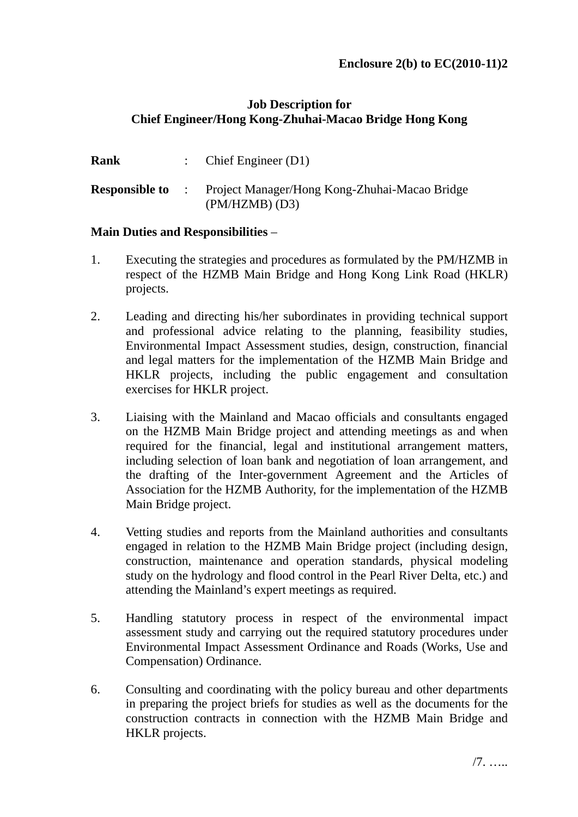### **Job Description for Chief Engineer/Hong Kong-Zhuhai-Macao Bridge Hong Kong**

| Rank | : Chief Engineer $(D1)$                                                                   |
|------|-------------------------------------------------------------------------------------------|
|      | <b>Responsible to</b> : Project Manager/Hong Kong-Zhuhai-Macao Bridge<br>$(PM/HZMB)$ (D3) |

### **Main Duties and Responsibilities** –

- 1. Executing the strategies and procedures as formulated by the PM/HZMB in respect of the HZMB Main Bridge and Hong Kong Link Road (HKLR) projects.
- 2. Leading and directing his/her subordinates in providing technical support and professional advice relating to the planning, feasibility studies, Environmental Impact Assessment studies, design, construction, financial and legal matters for the implementation of the HZMB Main Bridge and HKLR projects, including the public engagement and consultation exercises for HKLR project.
- 3. Liaising with the Mainland and Macao officials and consultants engaged on the HZMB Main Bridge project and attending meetings as and when required for the financial, legal and institutional arrangement matters, including selection of loan bank and negotiation of loan arrangement, and the drafting of the Inter-government Agreement and the Articles of Association for the HZMB Authority, for the implementation of the HZMB Main Bridge project.
- 4. Vetting studies and reports from the Mainland authorities and consultants engaged in relation to the HZMB Main Bridge project (including design, construction, maintenance and operation standards, physical modeling study on the hydrology and flood control in the Pearl River Delta, etc.) and attending the Mainland's expert meetings as required.
- 5. Handling statutory process in respect of the environmental impact assessment study and carrying out the required statutory procedures under Environmental Impact Assessment Ordinance and Roads (Works, Use and Compensation) Ordinance.
- 6. Consulting and coordinating with the policy bureau and other departments in preparing the project briefs for studies as well as the documents for the construction contracts in connection with the HZMB Main Bridge and HKLR projects.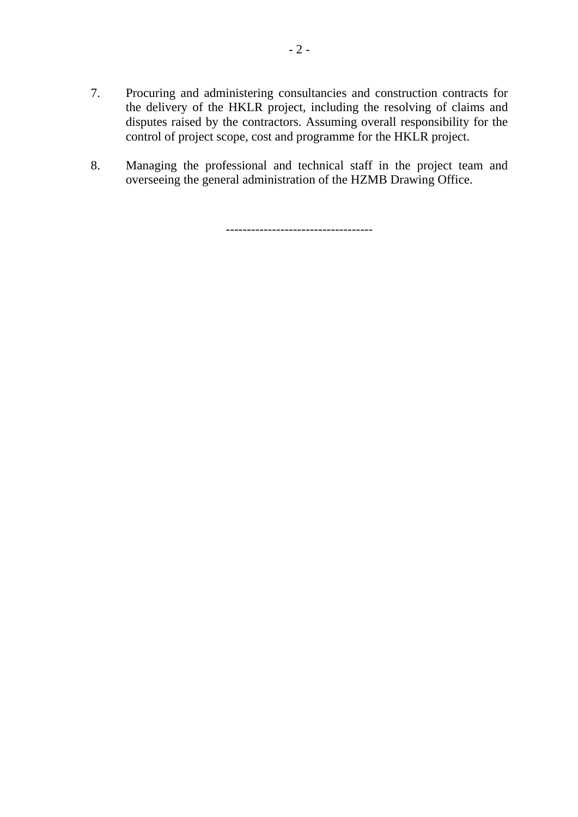- 7. Procuring and administering consultancies and construction contracts for the delivery of the HKLR project, including the resolving of claims and disputes raised by the contractors. Assuming overall responsibility for the control of project scope, cost and programme for the HKLR project.
- 8. Managing the professional and technical staff in the project team and overseeing the general administration of the HZMB Drawing Office.

-----------------------------------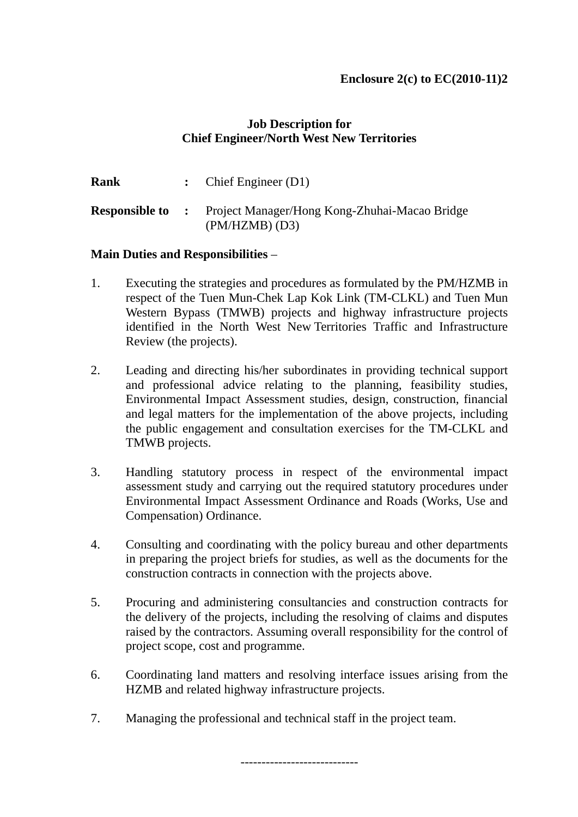### **Job Description for Chief Engineer/North West New Territories**

| <b>Rank</b> | : Chief Engineer $(D1)$                                                                   |
|-------------|-------------------------------------------------------------------------------------------|
|             | <b>Responsible to :</b> Project Manager/Hong Kong-Zhuhai-Macao Bridge<br>$(PM/HZMB)$ (D3) |

### **Main Duties and Responsibilities** –

- 1. Executing the strategies and procedures as formulated by the PM/HZMB in respect of the Tuen Mun-Chek Lap Kok Link (TM-CLKL) and Tuen Mun Western Bypass (TMWB) projects and highway infrastructure projects identified in the North West New Territories Traffic and Infrastructure Review (the projects).
- 2. Leading and directing his/her subordinates in providing technical support and professional advice relating to the planning, feasibility studies, Environmental Impact Assessment studies, design, construction, financial and legal matters for the implementation of the above projects, including the public engagement and consultation exercises for the TM-CLKL and TMWB projects.
- 3. Handling statutory process in respect of the environmental impact assessment study and carrying out the required statutory procedures under Environmental Impact Assessment Ordinance and Roads (Works, Use and Compensation) Ordinance.
- 4. Consulting and coordinating with the policy bureau and other departments in preparing the project briefs for studies, as well as the documents for the construction contracts in connection with the projects above.
- 5. Procuring and administering consultancies and construction contracts for the delivery of the projects, including the resolving of claims and disputes raised by the contractors. Assuming overall responsibility for the control of project scope, cost and programme.
- 6. Coordinating land matters and resolving interface issues arising from the HZMB and related highway infrastructure projects.

----------------------------

7. Managing the professional and technical staff in the project team.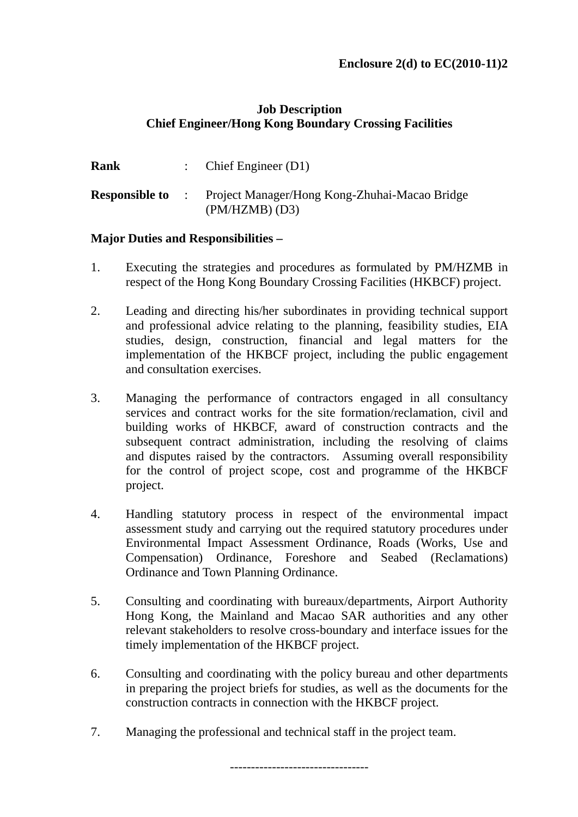### **Job Description Chief Engineer/Hong Kong Boundary Crossing Facilities**

| Rank | : Chief Engineer $(D1)$                                                                   |
|------|-------------------------------------------------------------------------------------------|
|      | <b>Responsible to</b> : Project Manager/Hong Kong-Zhuhai-Macao Bridge<br>$(PM/HZMB)$ (D3) |

### **Major Duties and Responsibilities –**

- 1. Executing the strategies and procedures as formulated by PM/HZMB in respect of the Hong Kong Boundary Crossing Facilities (HKBCF) project.
- 2. Leading and directing his/her subordinates in providing technical support and professional advice relating to the planning, feasibility studies, EIA studies, design, construction, financial and legal matters for the implementation of the HKBCF project, including the public engagement and consultation exercises.
- 3. Managing the performance of contractors engaged in all consultancy services and contract works for the site formation/reclamation, civil and building works of HKBCF, award of construction contracts and the subsequent contract administration, including the resolving of claims and disputes raised by the contractors. Assuming overall responsibility for the control of project scope, cost and programme of the HKBCF project.
- 4. Handling statutory process in respect of the environmental impact assessment study and carrying out the required statutory procedures under Environmental Impact Assessment Ordinance, Roads (Works, Use and Compensation) Ordinance, Foreshore and Seabed (Reclamations) Ordinance and Town Planning Ordinance.
- 5. Consulting and coordinating with bureaux/departments, Airport Authority Hong Kong, the Mainland and Macao SAR authorities and any other relevant stakeholders to resolve cross-boundary and interface issues for the timely implementation of the HKBCF project.
- 6. Consulting and coordinating with the policy bureau and other departments in preparing the project briefs for studies, as well as the documents for the construction contracts in connection with the HKBCF project.
- 7. Managing the professional and technical staff in the project team.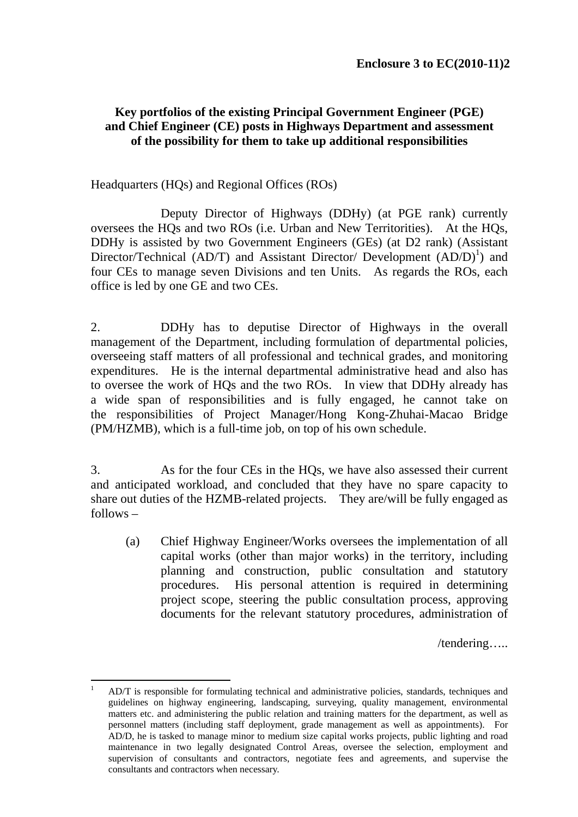### **Key portfolios of the existing Principal Government Engineer (PGE) and Chief Engineer (CE) posts in Highways Department and assessment of the possibility for them to take up additional responsibilities**

### Headquarters (HQs) and Regional Offices (ROs)

 Deputy Director of Highways (DDHy) (at PGE rank) currently oversees the HQs and two ROs (i.e. Urban and New Territorities). At the HQs, DDHy is assisted by two Government Engineers (GEs) (at D2 rank) (Assistant Director/Technical (AD/T) and Assistant Director/ Development  $(AD/D)^1$ ) and four CEs to manage seven Divisions and ten Units. As regards the ROs, each office is led by one GE and two CEs.

2. DDHy has to deputise Director of Highways in the overall management of the Department, including formulation of departmental policies, overseeing staff matters of all professional and technical grades, and monitoring expenditures. He is the internal departmental administrative head and also has to oversee the work of HQs and the two ROs. In view that DDHy already has a wide span of responsibilities and is fully engaged, he cannot take on the responsibilities of Project Manager/Hong Kong-Zhuhai-Macao Bridge (PM/HZMB), which is a full-time job, on top of his own schedule.

3. As for the four CEs in the HQs, we have also assessed their current and anticipated workload, and concluded that they have no spare capacity to share out duties of the HZMB-related projects. They are/will be fully engaged as follows –

(a) Chief Highway Engineer/Works oversees the implementation of all capital works (other than major works) in the territory, including planning and construction, public consultation and statutory procedures. His personal attention is required in determining project scope, steering the public consultation process, approving documents for the relevant statutory procedures, administration of

/tendering…..

 $\frac{1}{1}$  AD/T is responsible for formulating technical and administrative policies, standards, techniques and guidelines on highway engineering, landscaping, surveying, quality management, environmental matters etc. and administering the public relation and training matters for the department, as well as personnel matters (including staff deployment, grade management as well as appointments). For AD/D, he is tasked to manage minor to medium size capital works projects, public lighting and road maintenance in two legally designated Control Areas, oversee the selection, employment and supervision of consultants and contractors, negotiate fees and agreements, and supervise the consultants and contractors when necessary.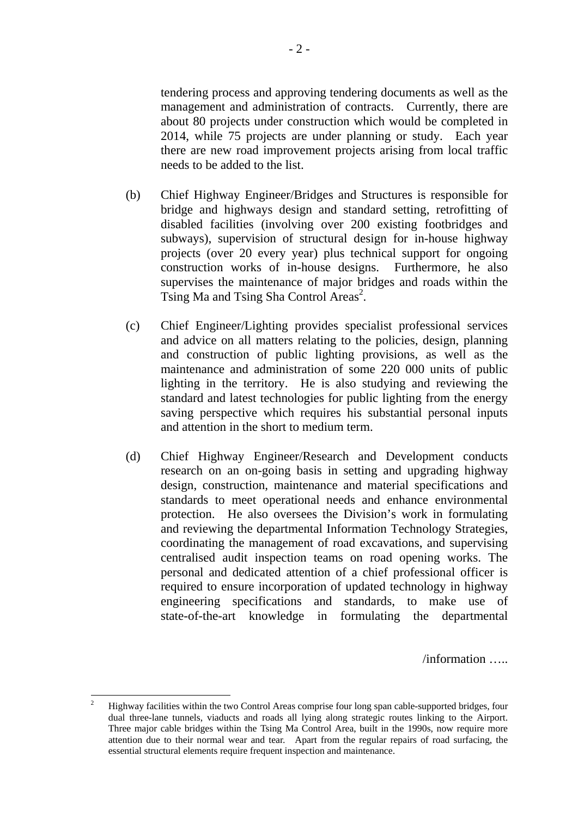tendering process and approving tendering documents as well as the management and administration of contracts. Currently, there are about 80 projects under construction which would be completed in 2014, while 75 projects are under planning or study. Each year there are new road improvement projects arising from local traffic needs to be added to the list.

- (b) Chief Highway Engineer/Bridges and Structures is responsible for bridge and highways design and standard setting, retrofitting of disabled facilities (involving over 200 existing footbridges and subways), supervision of structural design for in-house highway projects (over 20 every year) plus technical support for ongoing construction works of in-house designs. Furthermore, he also supervises the maintenance of major bridges and roads within the Tsing Ma and Tsing Sha Control Areas<sup>2</sup>.
- (c) Chief Engineer/Lighting provides specialist professional services and advice on all matters relating to the policies, design, planning and construction of public lighting provisions, as well as the maintenance and administration of some 220 000 units of public lighting in the territory. He is also studying and reviewing the standard and latest technologies for public lighting from the energy saving perspective which requires his substantial personal inputs and attention in the short to medium term.
- (d) Chief Highway Engineer/Research and Development conducts research on an on-going basis in setting and upgrading highway design, construction, maintenance and material specifications and standards to meet operational needs and enhance environmental protection. He also oversees the Division's work in formulating and reviewing the departmental Information Technology Strategies, coordinating the management of road excavations, and supervising centralised audit inspection teams on road opening works. The personal and dedicated attention of a chief professional officer is required to ensure incorporation of updated technology in highway engineering specifications and standards, to make use of state-of-the-art knowledge in formulating the departmental

/information …..

 $\frac{1}{2}$  Highway facilities within the two Control Areas comprise four long span cable-supported bridges, four dual three-lane tunnels, viaducts and roads all lying along strategic routes linking to the Airport. Three major cable bridges within the Tsing Ma Control Area, built in the 1990s, now require more attention due to their normal wear and tear. Apart from the regular repairs of road surfacing, the essential structural elements require frequent inspection and maintenance.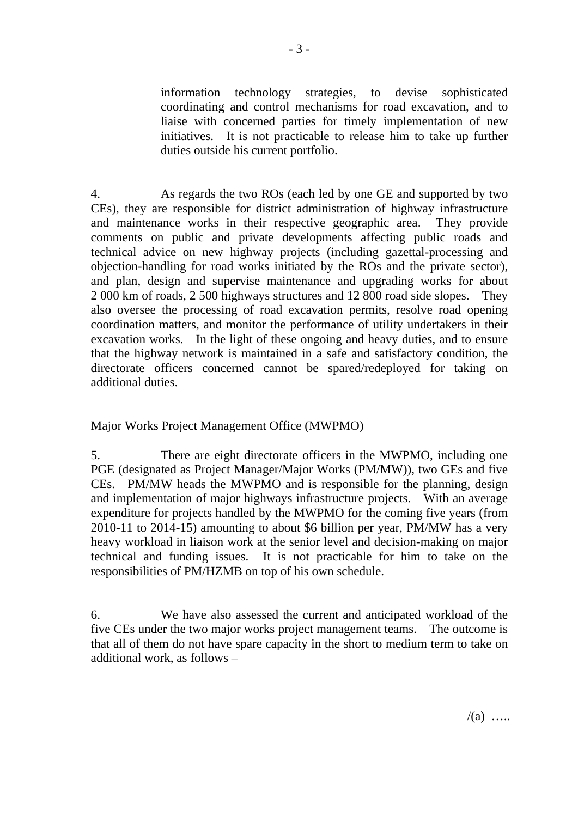information technology strategies, to devise sophisticated coordinating and control mechanisms for road excavation, and to liaise with concerned parties for timely implementation of new initiatives. It is not practicable to release him to take up further duties outside his current portfolio.

4. As regards the two ROs (each led by one GE and supported by two CEs), they are responsible for district administration of highway infrastructure and maintenance works in their respective geographic area. They provide comments on public and private developments affecting public roads and technical advice on new highway projects (including gazettal-processing and objection-handling for road works initiated by the ROs and the private sector), and plan, design and supervise maintenance and upgrading works for about 2 000 km of roads, 2 500 highways structures and 12 800 road side slopes. They also oversee the processing of road excavation permits, resolve road opening coordination matters, and monitor the performance of utility undertakers in their excavation works. In the light of these ongoing and heavy duties, and to ensure that the highway network is maintained in a safe and satisfactory condition, the directorate officers concerned cannot be spared/redeployed for taking on additional duties.

Major Works Project Management Office (MWPMO)

5. There are eight directorate officers in the MWPMO, including one PGE (designated as Project Manager/Major Works (PM/MW)), two GEs and five CEs. PM/MW heads the MWPMO and is responsible for the planning, design and implementation of major highways infrastructure projects. With an average expenditure for projects handled by the MWPMO for the coming five years (from 2010-11 to 2014-15) amounting to about \$6 billion per year, PM/MW has a very heavy workload in liaison work at the senior level and decision-making on major technical and funding issues. It is not practicable for him to take on the responsibilities of PM/HZMB on top of his own schedule.

6. We have also assessed the current and anticipated workload of the five CEs under the two major works project management teams. The outcome is that all of them do not have spare capacity in the short to medium term to take on additional work, as follows –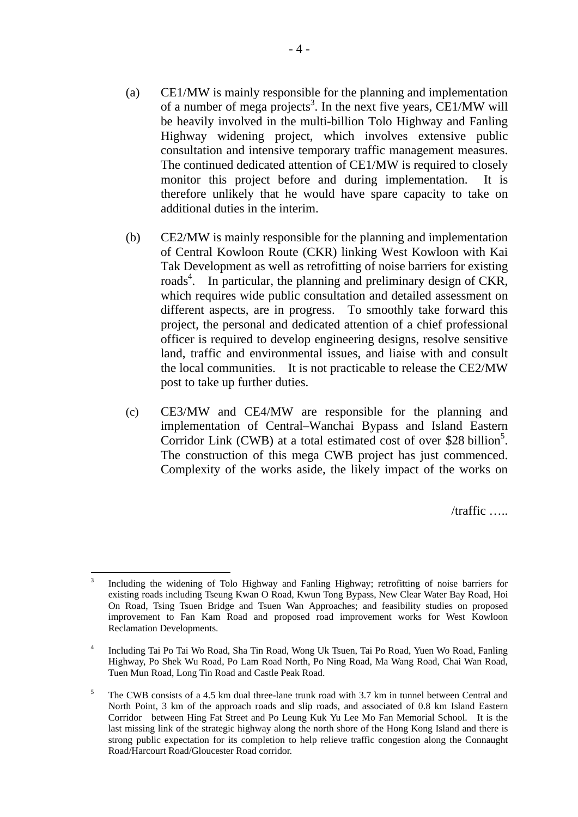- (a) CE1/MW is mainly responsible for the planning and implementation of a number of mega projects<sup>3</sup>. In the next five years, CE1/MW will be heavily involved in the multi-billion Tolo Highway and Fanling Highway widening project, which involves extensive public consultation and intensive temporary traffic management measures. The continued dedicated attention of CE1/MW is required to closely monitor this project before and during implementation. It is therefore unlikely that he would have spare capacity to take on additional duties in the interim.
- (b) CE2/MW is mainly responsible for the planning and implementation of Central Kowloon Route (CKR) linking West Kowloon with Kai Tak Development as well as retrofitting of noise barriers for existing roads<sup>4</sup>. In particular, the planning and preliminary design of CKR, which requires wide public consultation and detailed assessment on different aspects, are in progress. To smoothly take forward this project, the personal and dedicated attention of a chief professional officer is required to develop engineering designs, resolve sensitive land, traffic and environmental issues, and liaise with and consult the local communities. It is not practicable to release the CE2/MW post to take up further duties.
- (c) CE3/MW and CE4/MW are responsible for the planning and implementation of Central–Wanchai Bypass and Island Eastern Corridor Link (CWB) at a total estimated cost of over \$28 billion<sup>5</sup>. The construction of this mega CWB project has just commenced. Complexity of the works aside, the likely impact of the works on

/traffic …..

 3 Including the widening of Tolo Highway and Fanling Highway; retrofitting of noise barriers for existing roads including Tseung Kwan O Road, Kwun Tong Bypass, New Clear Water Bay Road, Hoi On Road, Tsing Tsuen Bridge and Tsuen Wan Approaches; and feasibility studies on proposed improvement to Fan Kam Road and proposed road improvement works for West Kowloon Reclamation Developments.

<sup>4</sup> Including Tai Po Tai Wo Road, Sha Tin Road, Wong Uk Tsuen, Tai Po Road, Yuen Wo Road, Fanling Highway, Po Shek Wu Road, Po Lam Road North, Po Ning Road, Ma Wang Road, Chai Wan Road, Tuen Mun Road, Long Tin Road and Castle Peak Road.

<sup>5</sup> The CWB consists of a 4.5 km dual three-lane trunk road with 3.7 km in tunnel between Central and North Point, 3 km of the approach roads and slip roads, and associated of 0.8 km Island Eastern Corridor between Hing Fat Street and Po Leung Kuk Yu Lee Mo Fan Memorial School. It is the last missing link of the strategic highway along the north shore of the Hong Kong Island and there is strong public expectation for its completion to help relieve traffic congestion along the Connaught Road/Harcourt Road/Gloucester Road corridor.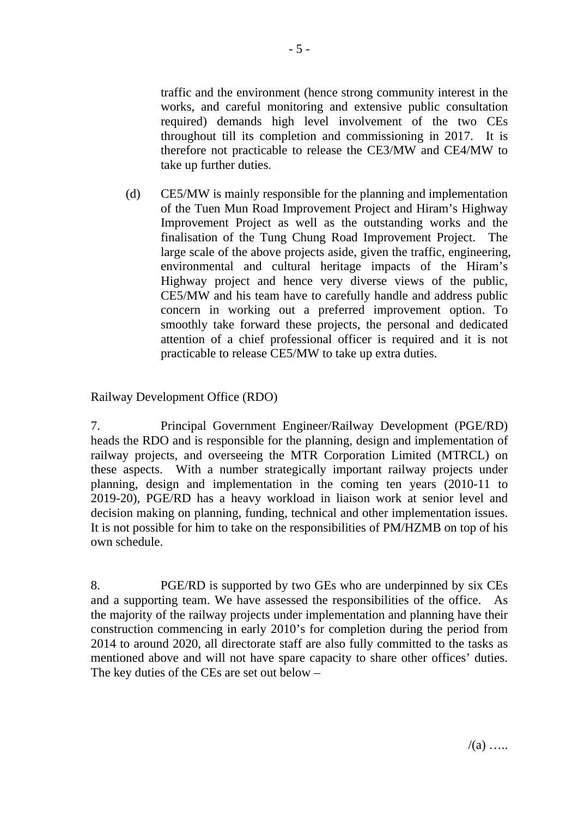traffic and the environment (hence strong community interest in the works, and careful monitoring and extensive public consultation required) demands high level involvement of the two CEs throughout till its completion and commissioning in 2017. It is therefore not practicable to release the CE3/MW and CE4/MW to take up further duties.

(d) CE5/MW is mainly responsible for the planning and implementation of the Tuen Mun Road Improvement Project and Hiram's Highway Improvement Project as well as the outstanding works and the finalisation of the Tung Chung Road Improvement Project. The large scale of the above projects aside, given the traffic, engineering, environmental and cultural heritage impacts of the Hiram's Highway project and hence very diverse views of the public, CE5/MW and his team have to carefully handle and address public concern in working out a preferred improvement option. To smoothly take forward these projects, the personal and dedicated attention of a chief professional officer is required and it is not practicable to release CE5/MW to take up extra duties.

Railway Development Office (RDO)

7. Principal Government Engineer/Railway Development (PGE/RD) heads the RDO and is responsible for the planning, design and implementation of railway projects, and overseeing the MTR Corporation Limited (MTRCL) on these aspects. With a number strategically important railway projects under planning, design and implementation in the coming ten years (2010-11 to 2019-20), PGE/RD has a heavy workload in liaison work at senior level and decision making on planning, funding, technical and other implementation issues. It is not possible for him to take on the responsibilities of PM/HZMB on top of his own schedule.

8. PGE/RD is supported by two GEs who are underpinned by six CEs and a supporting team. We have assessed the responsibilities of the office. As the majority of the railway projects under implementation and planning have their construction commencing in early 2010's for completion during the period from 2014 to around 2020, all directorate staff are also fully committed to the tasks as mentioned above and will not have spare capacity to share other offices' duties. The key duties of the CEs are set out below –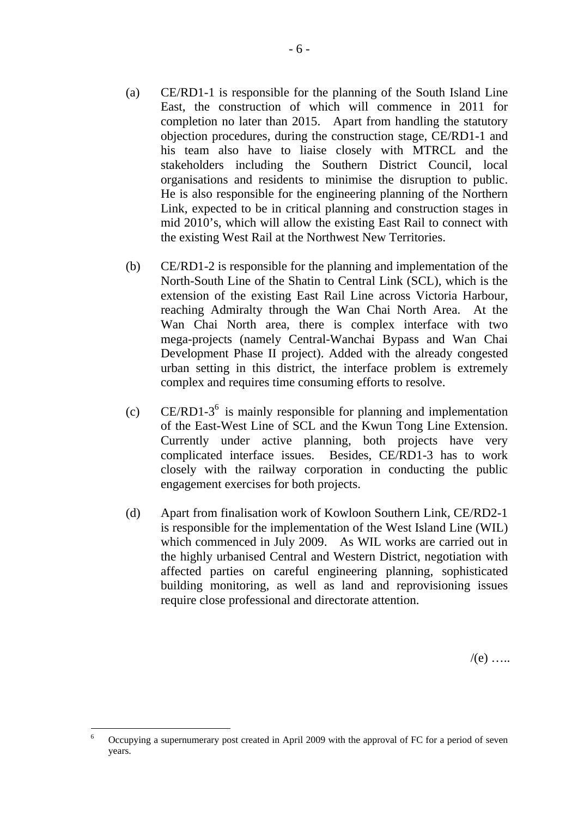- (a) CE/RD1-1 is responsible for the planning of the South Island Line East, the construction of which will commence in 2011 for completion no later than 2015. Apart from handling the statutory objection procedures, during the construction stage, CE/RD1-1 and his team also have to liaise closely with MTRCL and the stakeholders including the Southern District Council, local organisations and residents to minimise the disruption to public. He is also responsible for the engineering planning of the Northern Link, expected to be in critical planning and construction stages in mid 2010's, which will allow the existing East Rail to connect with the existing West Rail at the Northwest New Territories.
- (b) CE/RD1-2 is responsible for the planning and implementation of the North-South Line of the Shatin to Central Link (SCL), which is the extension of the existing East Rail Line across Victoria Harbour, reaching Admiralty through the Wan Chai North Area. At the Wan Chai North area, there is complex interface with two mega-projects (namely Central-Wanchai Bypass and Wan Chai Development Phase II project). Added with the already congested urban setting in this district, the interface problem is extremely complex and requires time consuming efforts to resolve.
- $\text{CE/RD1-3}^6$  is mainly responsible for planning and implementation of the East-West Line of SCL and the Kwun Tong Line Extension. Currently under active planning, both projects have very complicated interface issues. Besides, CE/RD1-3 has to work closely with the railway corporation in conducting the public engagement exercises for both projects.
- (d) Apart from finalisation work of Kowloon Southern Link, CE/RD2-1 is responsible for the implementation of the West Island Line (WIL) which commenced in July 2009. As WIL works are carried out in the highly urbanised Central and Western District, negotiation with affected parties on careful engineering planning, sophisticated building monitoring, as well as land and reprovisioning issues require close professional and directorate attention.

 $/(e)$  …

 $\overline{a}$ 6 Occupying a supernumerary post created in April 2009 with the approval of FC for a period of seven years.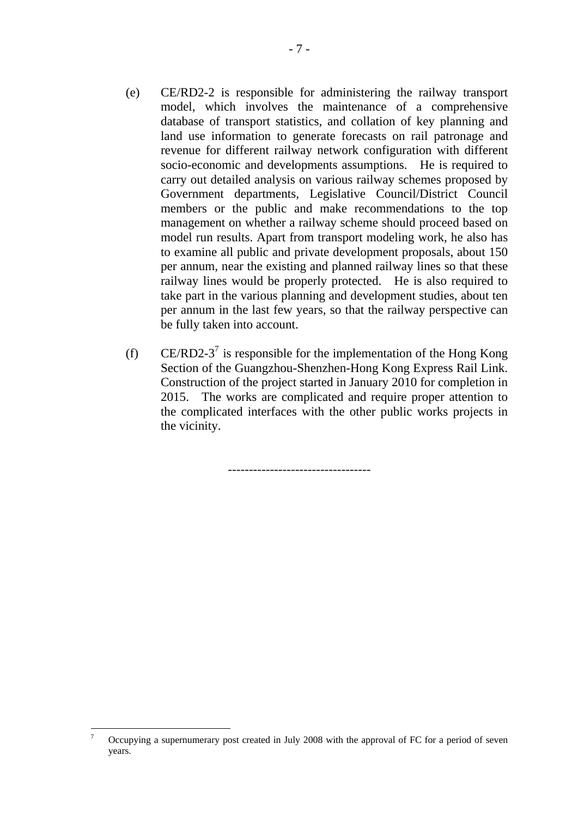- (e) CE/RD2-2 is responsible for administering the railway transport model, which involves the maintenance of a comprehensive database of transport statistics, and collation of key planning and land use information to generate forecasts on rail patronage and revenue for different railway network configuration with different socio-economic and developments assumptions. He is required to carry out detailed analysis on various railway schemes proposed by Government departments, Legislative Council/District Council members or the public and make recommendations to the top management on whether a railway scheme should proceed based on model run results. Apart from transport modeling work, he also has to examine all public and private development proposals, about 150 per annum, near the existing and planned railway lines so that these railway lines would be properly protected. He is also required to take part in the various planning and development studies, about ten per annum in the last few years, so that the railway perspective can be fully taken into account.
- (f) CE/RD2-3<sup>7</sup> is responsible for the implementation of the Hong Kong Section of the Guangzhou-Shenzhen-Hong Kong Express Rail Link. Construction of the project started in January 2010 for completion in 2015. The works are complicated and require proper attention to the complicated interfaces with the other public works projects in the vicinity.

----------------------------------

 $\overline{a}$ 

<sup>7</sup> Occupying a supernumerary post created in July 2008 with the approval of FC for a period of seven years.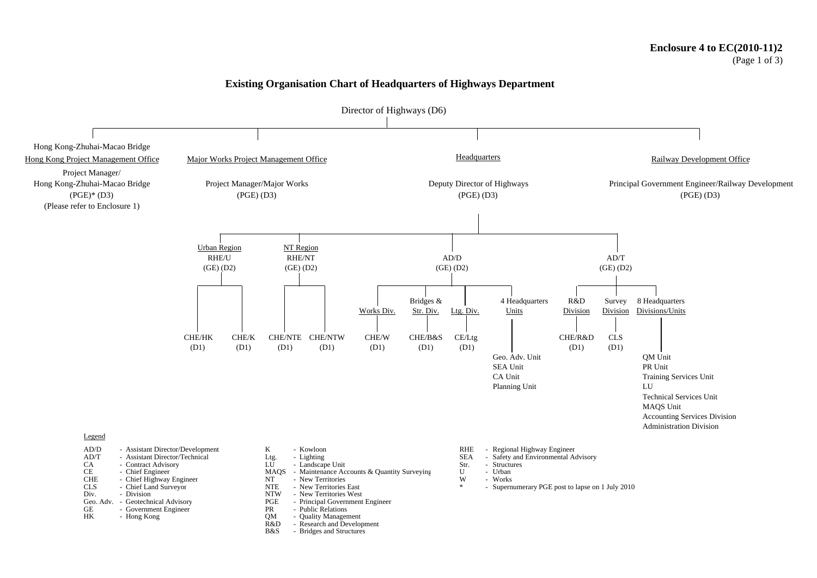#### (Page 1 of 3)

#### **Existing Organisation Chart of Headquarters of Highways Department**



- 
- B&S Bridges and Structures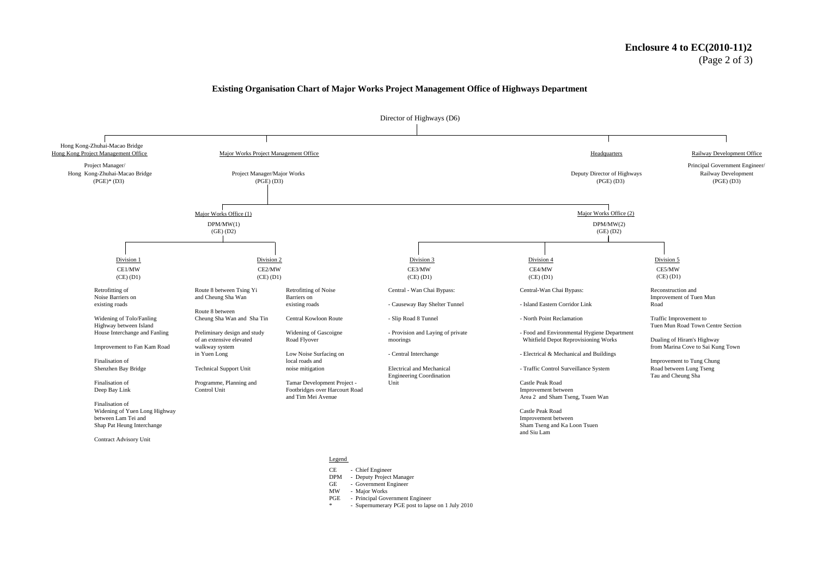#### **Enclosure 4 to EC(2010-11)2** (Page 2 of 3)

#### **Existing Organisation Chart of Major Works Project Management Office of Highways Department**



Legend

CE - Chief Engineer

DPM - Deputy Project Manager

GE - Government Engineer<br>MW - Maior Works

- Major Works

PGE - Principal Government Engineer

- Supernumerary PGE post to lapse on 1 July 2010